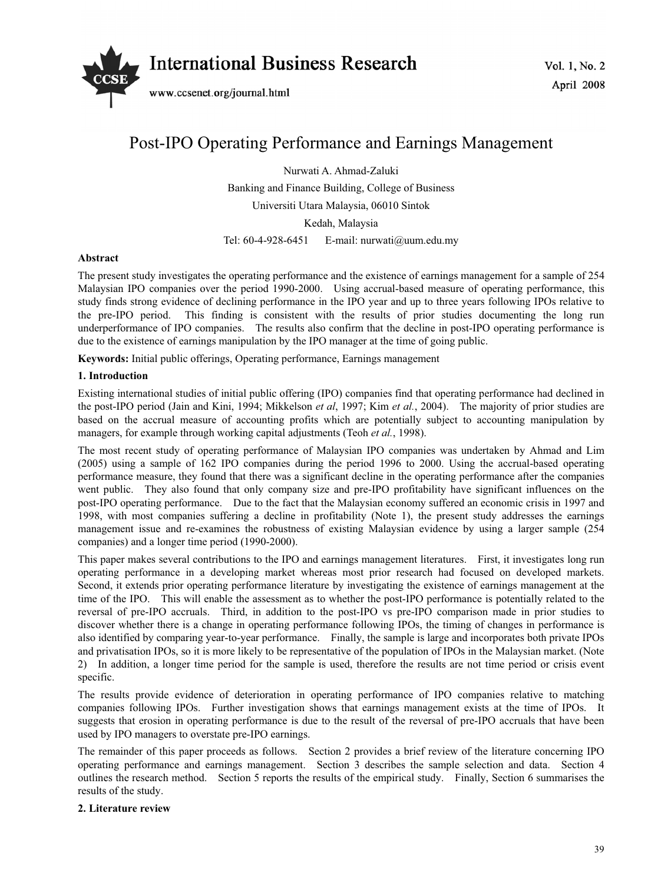

# Post-IPO Operating Performance and Earnings Management

Nurwati A. Ahmad-Zaluki Banking and Finance Building, College of Business Universiti Utara Malaysia, 06010 Sintok Kedah, Malaysia Tel: 60-4-928-6451 E-mail: nurwati@uum.edu.my

### **Abstract**

The present study investigates the operating performance and the existence of earnings management for a sample of 254 Malaysian IPO companies over the period 1990-2000. Using accrual-based measure of operating performance, this study finds strong evidence of declining performance in the IPO year and up to three years following IPOs relative to the pre-IPO period. This finding is consistent with the results of prior studies documenting the long run underperformance of IPO companies. The results also confirm that the decline in post-IPO operating performance is due to the existence of earnings manipulation by the IPO manager at the time of going public.

**Keywords:** Initial public offerings, Operating performance, Earnings management

## **1. Introduction**

Existing international studies of initial public offering (IPO) companies find that operating performance had declined in the post-IPO period (Jain and Kini, 1994; Mikkelson *et al*, 1997; Kim *et al.*, 2004). The majority of prior studies are based on the accrual measure of accounting profits which are potentially subject to accounting manipulation by managers, for example through working capital adjustments (Teoh *et al.*, 1998).

The most recent study of operating performance of Malaysian IPO companies was undertaken by Ahmad and Lim (2005) using a sample of 162 IPO companies during the period 1996 to 2000. Using the accrual-based operating performance measure, they found that there was a significant decline in the operating performance after the companies went public. They also found that only company size and pre-IPO profitability have significant influences on the post-IPO operating performance. Due to the fact that the Malaysian economy suffered an economic crisis in 1997 and 1998, with most companies suffering a decline in profitability (Note 1), the present study addresses the earnings management issue and re-examines the robustness of existing Malaysian evidence by using a larger sample (254 companies) and a longer time period (1990-2000).

This paper makes several contributions to the IPO and earnings management literatures. First, it investigates long run operating performance in a developing market whereas most prior research had focused on developed markets. Second, it extends prior operating performance literature by investigating the existence of earnings management at the time of the IPO. This will enable the assessment as to whether the post-IPO performance is potentially related to the reversal of pre-IPO accruals. Third, in addition to the post-IPO vs pre-IPO comparison made in prior studies to discover whether there is a change in operating performance following IPOs, the timing of changes in performance is also identified by comparing year-to-year performance. Finally, the sample is large and incorporates both private IPOs and privatisation IPOs, so it is more likely to be representative of the population of IPOs in the Malaysian market. (Note 2) In addition, a longer time period for the sample is used, therefore the results are not time period or crisis event specific.

The results provide evidence of deterioration in operating performance of IPO companies relative to matching companies following IPOs. Further investigation shows that earnings management exists at the time of IPOs. It suggests that erosion in operating performance is due to the result of the reversal of pre-IPO accruals that have been used by IPO managers to overstate pre-IPO earnings.

The remainder of this paper proceeds as follows. Section 2 provides a brief review of the literature concerning IPO operating performance and earnings management. Section 3 describes the sample selection and data. Section 4 outlines the research method. Section 5 reports the results of the empirical study. Finally, Section 6 summarises the results of the study.

## **2. Literature review**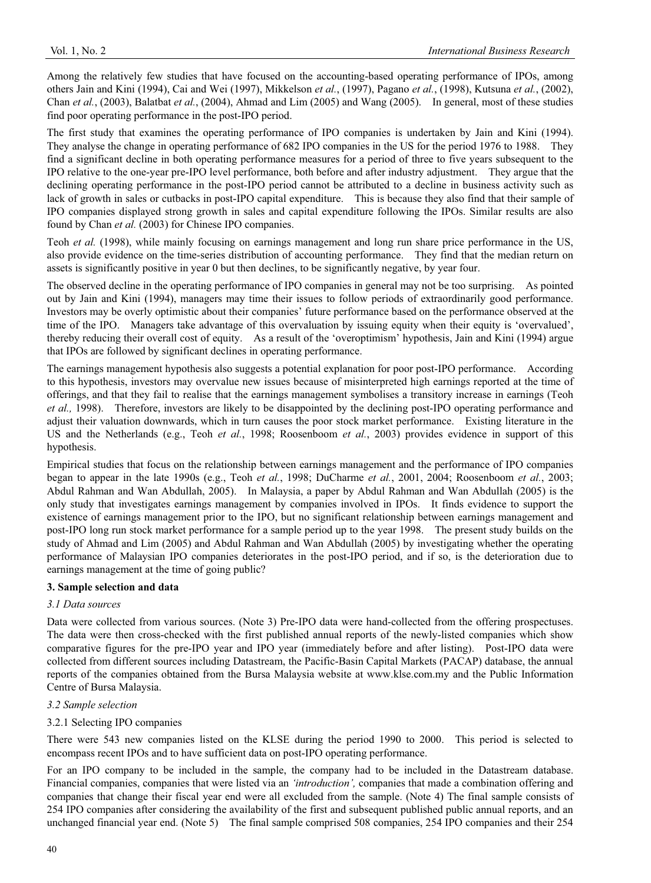Among the relatively few studies that have focused on the accounting-based operating performance of IPOs, among others Jain and Kini (1994), Cai and Wei (1997), Mikkelson *et al.*, (1997), Pagano *et al.*, (1998), Kutsuna *et al.*, (2002), Chan *et al.*, (2003), Balatbat *et al.*, (2004), Ahmad and Lim (2005) and Wang (2005). In general, most of these studies find poor operating performance in the post-IPO period.

The first study that examines the operating performance of IPO companies is undertaken by Jain and Kini (1994). They analyse the change in operating performance of 682 IPO companies in the US for the period 1976 to 1988. They find a significant decline in both operating performance measures for a period of three to five years subsequent to the IPO relative to the one-year pre-IPO level performance, both before and after industry adjustment. They argue that the declining operating performance in the post-IPO period cannot be attributed to a decline in business activity such as lack of growth in sales or cutbacks in post-IPO capital expenditure. This is because they also find that their sample of IPO companies displayed strong growth in sales and capital expenditure following the IPOs. Similar results are also found by Chan *et al.* (2003) for Chinese IPO companies.

Teoh *et al.* (1998), while mainly focusing on earnings management and long run share price performance in the US, also provide evidence on the time-series distribution of accounting performance. They find that the median return on assets is significantly positive in year 0 but then declines, to be significantly negative, by year four.

The observed decline in the operating performance of IPO companies in general may not be too surprising. As pointed out by Jain and Kini (1994), managers may time their issues to follow periods of extraordinarily good performance. Investors may be overly optimistic about their companies' future performance based on the performance observed at the time of the IPO. Managers take advantage of this overvaluation by issuing equity when their equity is 'overvalued', thereby reducing their overall cost of equity. As a result of the 'overoptimism' hypothesis, Jain and Kini (1994) argue that IPOs are followed by significant declines in operating performance.

The earnings management hypothesis also suggests a potential explanation for poor post-IPO performance. According to this hypothesis, investors may overvalue new issues because of misinterpreted high earnings reported at the time of offerings, and that they fail to realise that the earnings management symbolises a transitory increase in earnings (Teoh *et al.,* 1998). Therefore, investors are likely to be disappointed by the declining post-IPO operating performance and adjust their valuation downwards, which in turn causes the poor stock market performance. Existing literature in the US and the Netherlands (e.g., Teoh *et al.*, 1998; Roosenboom *et al.*, 2003) provides evidence in support of this hypothesis.

Empirical studies that focus on the relationship between earnings management and the performance of IPO companies began to appear in the late 1990s (e.g., Teoh *et al.*, 1998; DuCharme *et al.*, 2001, 2004; Roosenboom *et al.*, 2003; Abdul Rahman and Wan Abdullah, 2005). In Malaysia, a paper by Abdul Rahman and Wan Abdullah (2005) is the only study that investigates earnings management by companies involved in IPOs. It finds evidence to support the existence of earnings management prior to the IPO, but no significant relationship between earnings management and post-IPO long run stock market performance for a sample period up to the year 1998. The present study builds on the study of Ahmad and Lim (2005) and Abdul Rahman and Wan Abdullah (2005) by investigating whether the operating performance of Malaysian IPO companies deteriorates in the post-IPO period, and if so, is the deterioration due to earnings management at the time of going public?

# **3. Sample selection and data**

# *3.1 Data sources*

Data were collected from various sources. (Note 3) Pre-IPO data were hand-collected from the offering prospectuses. The data were then cross-checked with the first published annual reports of the newly-listed companies which show comparative figures for the pre-IPO year and IPO year (immediately before and after listing). Post-IPO data were collected from different sources including Datastream, the Pacific-Basin Capital Markets (PACAP) database, the annual reports of the companies obtained from the Bursa Malaysia website at www.klse.com.my and the Public Information Centre of Bursa Malaysia.

### *3.2 Sample selection*

## 3.2.1 Selecting IPO companies

There were 543 new companies listed on the KLSE during the period 1990 to 2000. This period is selected to encompass recent IPOs and to have sufficient data on post-IPO operating performance.

For an IPO company to be included in the sample, the company had to be included in the Datastream database. Financial companies, companies that were listed via an *'introduction',* companies that made a combination offering and companies that change their fiscal year end were all excluded from the sample. (Note 4) The final sample consists of 254 IPO companies after considering the availability of the first and subsequent published public annual reports, and an unchanged financial year end. (Note 5) The final sample comprised 508 companies, 254 IPO companies and their 254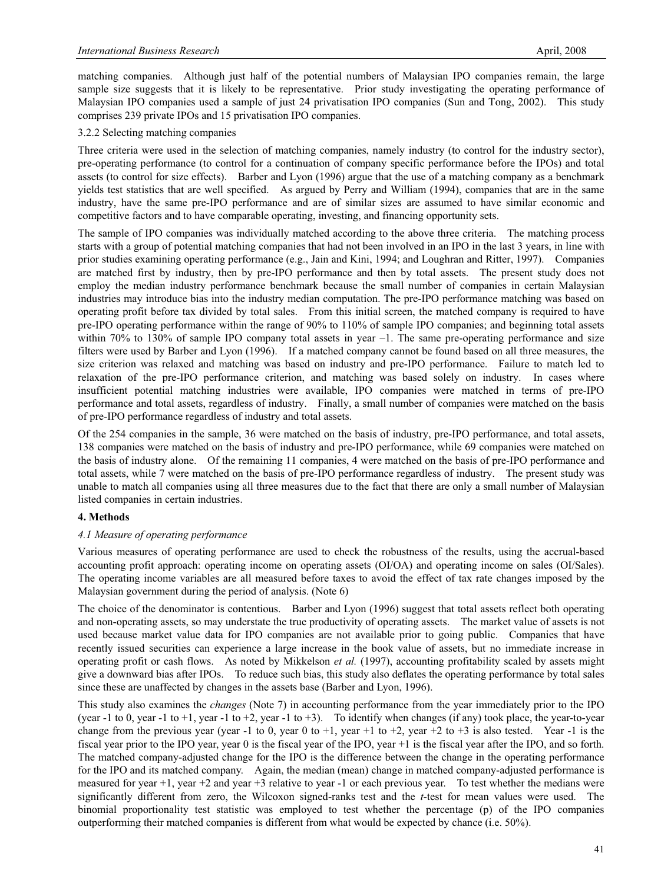matching companies. Although just half of the potential numbers of Malaysian IPO companies remain, the large sample size suggests that it is likely to be representative. Prior study investigating the operating performance of Malaysian IPO companies used a sample of just 24 privatisation IPO companies (Sun and Tong, 2002). This study comprises 239 private IPOs and 15 privatisation IPO companies.

## 3.2.2 Selecting matching companies

Three criteria were used in the selection of matching companies, namely industry (to control for the industry sector), pre-operating performance (to control for a continuation of company specific performance before the IPOs) and total assets (to control for size effects). Barber and Lyon (1996) argue that the use of a matching company as a benchmark yields test statistics that are well specified. As argued by Perry and William (1994), companies that are in the same industry, have the same pre-IPO performance and are of similar sizes are assumed to have similar economic and competitive factors and to have comparable operating, investing, and financing opportunity sets.

The sample of IPO companies was individually matched according to the above three criteria. The matching process starts with a group of potential matching companies that had not been involved in an IPO in the last 3 years, in line with prior studies examining operating performance (e.g., Jain and Kini, 1994; and Loughran and Ritter, 1997). Companies are matched first by industry, then by pre-IPO performance and then by total assets. The present study does not employ the median industry performance benchmark because the small number of companies in certain Malaysian industries may introduce bias into the industry median computation. The pre-IPO performance matching was based on operating profit before tax divided by total sales. From this initial screen, the matched company is required to have pre-IPO operating performance within the range of 90% to 110% of sample IPO companies; and beginning total assets within 70% to 130% of sample IPO company total assets in year  $-1$ . The same pre-operating performance and size filters were used by Barber and Lyon (1996). If a matched company cannot be found based on all three measures, the size criterion was relaxed and matching was based on industry and pre-IPO performance. Failure to match led to relaxation of the pre-IPO performance criterion, and matching was based solely on industry. In cases where insufficient potential matching industries were available, IPO companies were matched in terms of pre-IPO performance and total assets, regardless of industry. Finally, a small number of companies were matched on the basis of pre-IPO performance regardless of industry and total assets.

Of the 254 companies in the sample, 36 were matched on the basis of industry, pre-IPO performance, and total assets, 138 companies were matched on the basis of industry and pre-IPO performance, while 69 companies were matched on the basis of industry alone. Of the remaining 11 companies, 4 were matched on the basis of pre-IPO performance and total assets, while 7 were matched on the basis of pre-IPO performance regardless of industry. The present study was unable to match all companies using all three measures due to the fact that there are only a small number of Malaysian listed companies in certain industries.

# **4. Methods**

### *4.1 Measure of operating performance*

Various measures of operating performance are used to check the robustness of the results, using the accrual-based accounting profit approach: operating income on operating assets (OI/OA) and operating income on sales (OI/Sales). The operating income variables are all measured before taxes to avoid the effect of tax rate changes imposed by the Malaysian government during the period of analysis. (Note 6)

The choice of the denominator is contentious. Barber and Lyon (1996) suggest that total assets reflect both operating and non-operating assets, so may understate the true productivity of operating assets. The market value of assets is not used because market value data for IPO companies are not available prior to going public. Companies that have recently issued securities can experience a large increase in the book value of assets, but no immediate increase in operating profit or cash flows. As noted by Mikkelson *et al.* (1997), accounting profitability scaled by assets might give a downward bias after IPOs. To reduce such bias, this study also deflates the operating performance by total sales since these are unaffected by changes in the assets base (Barber and Lyon, 1996).

This study also examines the *changes* (Note 7) in accounting performance from the year immediately prior to the IPO (year -1 to 0, year -1 to +1, year -1 to +2, year -1 to +3). To identify when changes (if any) took place, the year-to-year change from the previous year (year -1 to 0, year 0 to +1, year +1 to +2, year +2 to +3 is also tested. Year -1 is the fiscal year prior to the IPO year, year 0 is the fiscal year of the IPO, year +1 is the fiscal year after the IPO, and so forth. The matched company-adjusted change for the IPO is the difference between the change in the operating performance for the IPO and its matched company. Again, the median (mean) change in matched company-adjusted performance is measured for year +1, year +2 and year +3 relative to year -1 or each previous year. To test whether the medians were significantly different from zero, the Wilcoxon signed-ranks test and the *t*-test for mean values were used. The binomial proportionality test statistic was employed to test whether the percentage (p) of the IPO companies outperforming their matched companies is different from what would be expected by chance (i.e. 50%).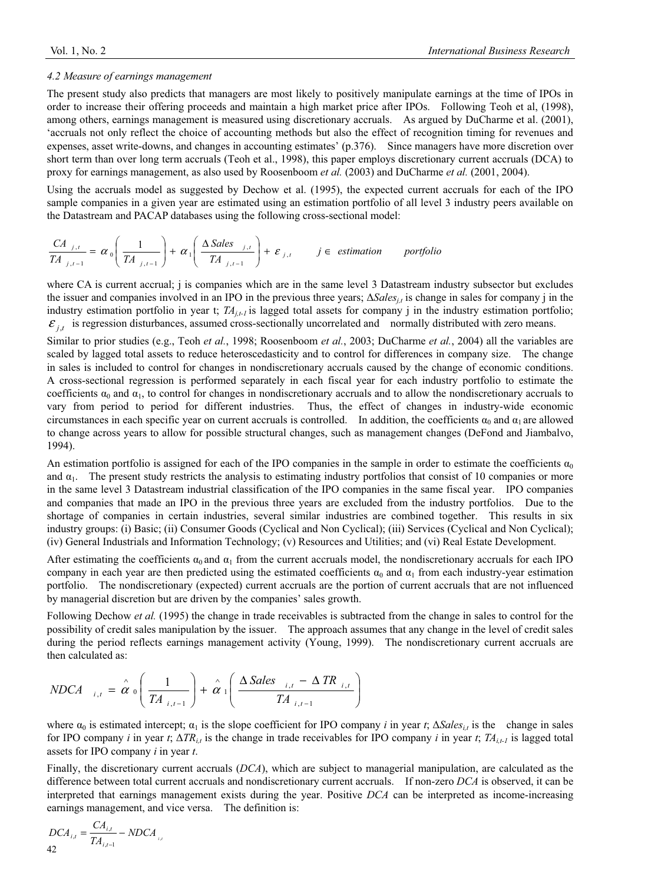#### *4.2 Measure of earnings management*

The present study also predicts that managers are most likely to positively manipulate earnings at the time of IPOs in order to increase their offering proceeds and maintain a high market price after IPOs. Following Teoh et al, (1998), among others, earnings management is measured using discretionary accruals. As argued by DuCharme et al. (2001), 'accruals not only reflect the choice of accounting methods but also the effect of recognition timing for revenues and expenses, asset write-downs, and changes in accounting estimates' (p.376). Since managers have more discretion over short term than over long term accruals (Teoh et al., 1998), this paper employs discretionary current accruals (DCA) to proxy for earnings management, as also used by Roosenboom *et al.* (2003) and DuCharme *et al.* (2001, 2004).

Using the accruals model as suggested by Dechow et al. (1995), the expected current accruals for each of the IPO sample companies in a given year are estimated using an estimation portfolio of all level 3 industry peers available on the Datastream and PACAP databases using the following cross-sectional model:

$$
\frac{CA_{j,t}}{TA_{j,t-1}} = \alpha_0 \left( \frac{1}{TA_{j,t-1}} \right) + \alpha_1 \left( \frac{\Delta \text{ Sales}_{j,t}}{TA_{j,t-1}} \right) + \varepsilon_{j,t} \qquad j \in \text{ estimation} \qquad \text{portfolio}
$$

where CA is current accrual; j is companies which are in the same level 3 Datastream industry subsector but excludes the issuer and companies involved in an IPO in the previous three years;  $\Delta Sales_{i,t}$  is change in sales for company j in the industry estimation portfolio in year t; *TA<sub>i,t-1</sub>* is lagged total assets for company j in the industry estimation portfolio;  $\mathcal{E}_{i,t}$  is regression disturbances, assumed cross-sectionally uncorrelated and normally distributed with zero means.

Similar to prior studies (e.g., Teoh *et al.*, 1998; Roosenboom *et al.*, 2003; DuCharme *et al.*, 2004) all the variables are scaled by lagged total assets to reduce heteroscedasticity and to control for differences in company size. The change in sales is included to control for changes in nondiscretionary accruals caused by the change of economic conditions. A cross-sectional regression is performed separately in each fiscal year for each industry portfolio to estimate the coefficients  $\alpha_0$  and  $\alpha_1$ , to control for changes in nondiscretionary accruals and to allow the nondiscretionary accruals to vary from period to period for different industries. Thus, the effect of changes in industry-wide economic circumstances in each specific year on current accruals is controlled. In addition, the coefficients  $\alpha_0$  and  $\alpha_1$  are allowed to change across years to allow for possible structural changes, such as management changes (DeFond and Jiambalvo, 1994).

An estimation portfolio is assigned for each of the IPO companies in the sample in order to estimate the coefficients  $\alpha_0$ and  $\alpha_1$ . The present study restricts the analysis to estimating industry portfolios that consist of 10 companies or more in the same level 3 Datastream industrial classification of the IPO companies in the same fiscal year. IPO companies and companies that made an IPO in the previous three years are excluded from the industry portfolios. Due to the shortage of companies in certain industries, several similar industries are combined together. This results in six industry groups: (i) Basic; (ii) Consumer Goods (Cyclical and Non Cyclical); (iii) Services (Cyclical and Non Cyclical); (iv) General Industrials and Information Technology; (v) Resources and Utilities; and (vi) Real Estate Development.

After estimating the coefficients  $\alpha_0$  and  $\alpha_1$  from the current accruals model, the nondiscretionary accruals for each IPO company in each year are then predicted using the estimated coefficients  $\alpha_0$  and  $\alpha_1$  from each industry-year estimation portfolio. The nondiscretionary (expected) current accruals are the portion of current accruals that are not influenced by managerial discretion but are driven by the companies' sales growth.

Following Dechow *et al.* (1995) the change in trade receivables is subtracted from the change in sales to control for the possibility of credit sales manipulation by the issuer. The approach assumes that any change in the level of credit sales during the period reflects earnings management activity (Young, 1999). The nondiscretionary current accruals are then calculated as:

$$
NDCA_{i,t} = \alpha \left( \frac{1}{TA_{i,t-1}} \right) + \alpha \left( \frac{\Delta Sales_{i,t} - \Delta TR_{i,t}}{TA_{i,t-1}} \right)
$$

where  $\alpha_0$  is estimated intercept;  $\alpha_1$  is the slope coefficient for IPO company *i* in year *t*;  $\Delta Sales_{i,t}$  is the change in sales for IPO company *i* in year *t*;  $\Delta TR_{i,t}$  is the change in trade receivables for IPO company *i* in year *t*;  $TA_{i,t-1}$  is lagged total assets for IPO company *i* in year *t*.

Finally, the discretionary current accruals (*DCA*), which are subject to managerial manipulation, are calculated as the difference between total current accruals and nondiscretionary current accruals. If non-zero *DCA* is observed, it can be interpreted that earnings management exists during the year. Positive *DCA* can be interpreted as income-increasing earnings management, and vice versa. The definition is:

$$
DCA_{i,t} = \frac{CA_{i,t}}{TA_{i,t-1}} - NDCA_{i,t}
$$
42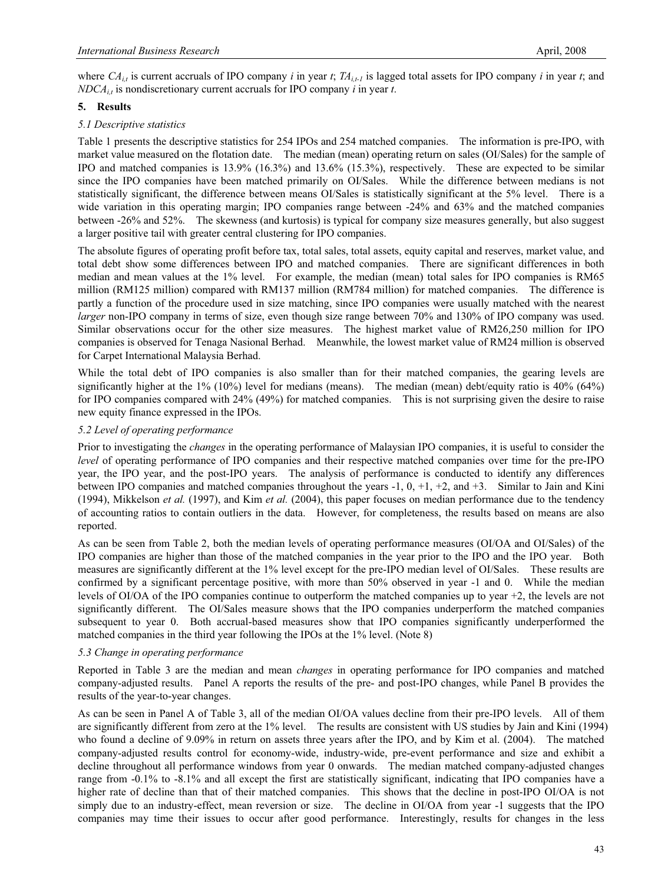where  $CA_i$  is current accruals of IPO company *i* in year *t*;  $TA_{i+1}$  is lagged total assets for IPO company *i* in year *t*; and *NDCAi,t* is nondiscretionary current accruals for IPO company *i* in year *t*.

## **5. Results**

### *5.1 Descriptive statistics*

Table 1 presents the descriptive statistics for 254 IPOs and 254 matched companies. The information is pre-IPO, with market value measured on the flotation date. The median (mean) operating return on sales (OI/Sales) for the sample of IPO and matched companies is 13.9% (16.3%) and 13.6% (15.3%), respectively. These are expected to be similar since the IPO companies have been matched primarily on OI/Sales. While the difference between medians is not statistically significant, the difference between means OI/Sales is statistically significant at the 5% level. There is a wide variation in this operating margin; IPO companies range between -24% and 63% and the matched companies between -26% and 52%. The skewness (and kurtosis) is typical for company size measures generally, but also suggest a larger positive tail with greater central clustering for IPO companies.

The absolute figures of operating profit before tax, total sales, total assets, equity capital and reserves, market value, and total debt show some differences between IPO and matched companies. There are significant differences in both median and mean values at the 1% level. For example, the median (mean) total sales for IPO companies is RM65 million (RM125 million) compared with RM137 million (RM784 million) for matched companies. The difference is partly a function of the procedure used in size matching, since IPO companies were usually matched with the nearest *larger* non-IPO company in terms of size, even though size range between 70% and 130% of IPO company was used. Similar observations occur for the other size measures. The highest market value of RM26,250 million for IPO companies is observed for Tenaga Nasional Berhad. Meanwhile, the lowest market value of RM24 million is observed for Carpet International Malaysia Berhad.

While the total debt of IPO companies is also smaller than for their matched companies, the gearing levels are significantly higher at the 1% (10%) level for medians (means). The median (mean) debt/equity ratio is 40% (64%) for IPO companies compared with 24% (49%) for matched companies. This is not surprising given the desire to raise new equity finance expressed in the IPOs.

### *5.2 Level of operating performance*

Prior to investigating the *changes* in the operating performance of Malaysian IPO companies, it is useful to consider the *level* of operating performance of IPO companies and their respective matched companies over time for the pre-IPO year, the IPO year, and the post-IPO years. The analysis of performance is conducted to identify any differences between IPO companies and matched companies throughout the years -1, 0, +1, +2, and +3. Similar to Jain and Kini (1994), Mikkelson *et al.* (1997), and Kim *et al.* (2004), this paper focuses on median performance due to the tendency of accounting ratios to contain outliers in the data. However, for completeness, the results based on means are also reported.

As can be seen from Table 2, both the median levels of operating performance measures (OI/OA and OI/Sales) of the IPO companies are higher than those of the matched companies in the year prior to the IPO and the IPO year. Both measures are significantly different at the 1% level except for the pre-IPO median level of OI/Sales. These results are confirmed by a significant percentage positive, with more than 50% observed in year -1 and 0. While the median levels of OI/OA of the IPO companies continue to outperform the matched companies up to year +2, the levels are not significantly different. The OI/Sales measure shows that the IPO companies underperform the matched companies subsequent to year 0. Both accrual-based measures show that IPO companies significantly underperformed the matched companies in the third year following the IPOs at the 1% level. (Note 8)

### *5.3 Change in operating performance*

Reported in Table 3 are the median and mean *changes* in operating performance for IPO companies and matched company-adjusted results. Panel A reports the results of the pre- and post-IPO changes, while Panel B provides the results of the year-to-year changes.

As can be seen in Panel A of Table 3, all of the median OI/OA values decline from their pre-IPO levels. All of them are significantly different from zero at the 1% level. The results are consistent with US studies by Jain and Kini (1994) who found a decline of 9.09% in return on assets three years after the IPO, and by Kim et al. (2004). The matched company-adjusted results control for economy-wide, industry-wide, pre-event performance and size and exhibit a decline throughout all performance windows from year 0 onwards. The median matched company-adjusted changes range from -0.1% to -8.1% and all except the first are statistically significant, indicating that IPO companies have a higher rate of decline than that of their matched companies. This shows that the decline in post-IPO OI/OA is not simply due to an industry-effect, mean reversion or size. The decline in OI/OA from year -1 suggests that the IPO companies may time their issues to occur after good performance. Interestingly, results for changes in the less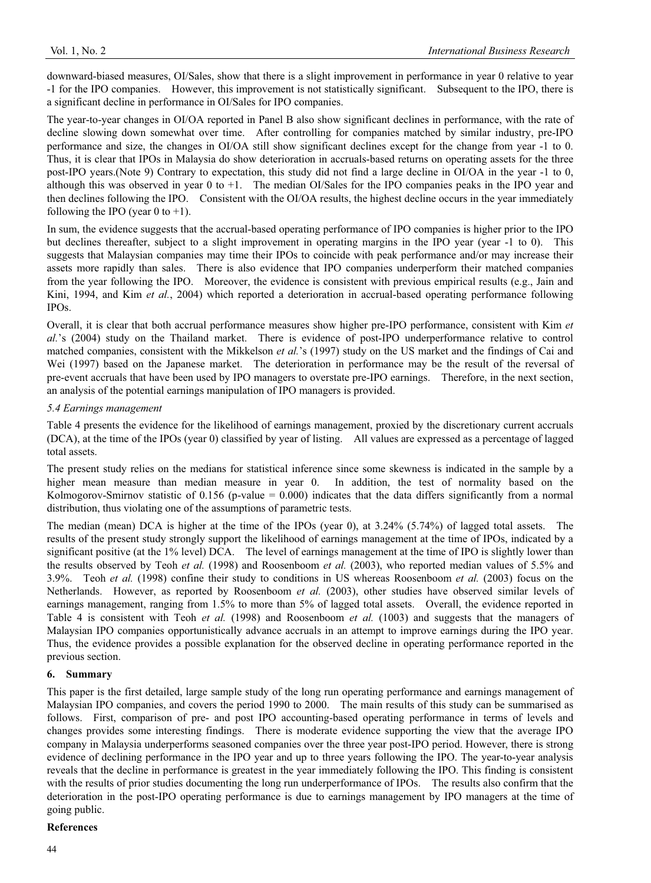downward-biased measures, OI/Sales, show that there is a slight improvement in performance in year 0 relative to year -1 for the IPO companies. However, this improvement is not statistically significant. Subsequent to the IPO, there is a significant decline in performance in OI/Sales for IPO companies.

The year-to-year changes in OI/OA reported in Panel B also show significant declines in performance, with the rate of decline slowing down somewhat over time. After controlling for companies matched by similar industry, pre-IPO performance and size, the changes in OI/OA still show significant declines except for the change from year -1 to 0. Thus, it is clear that IPOs in Malaysia do show deterioration in accruals-based returns on operating assets for the three post-IPO years.(Note 9) Contrary to expectation, this study did not find a large decline in OI/OA in the year -1 to 0, although this was observed in year 0 to +1. The median OI/Sales for the IPO companies peaks in the IPO year and then declines following the IPO. Consistent with the OI/OA results, the highest decline occurs in the year immediately following the IPO (year  $0$  to  $+1$ ).

In sum, the evidence suggests that the accrual-based operating performance of IPO companies is higher prior to the IPO but declines thereafter, subject to a slight improvement in operating margins in the IPO year (year -1 to 0). This suggests that Malaysian companies may time their IPOs to coincide with peak performance and/or may increase their assets more rapidly than sales. There is also evidence that IPO companies underperform their matched companies from the year following the IPO. Moreover, the evidence is consistent with previous empirical results (e.g., Jain and Kini, 1994, and Kim *et al.*, 2004) which reported a deterioration in accrual-based operating performance following IPOs.

Overall, it is clear that both accrual performance measures show higher pre-IPO performance, consistent with Kim *et al.*'s (2004) study on the Thailand market. There is evidence of post-IPO underperformance relative to control matched companies, consistent with the Mikkelson *et al.*'s (1997) study on the US market and the findings of Cai and Wei (1997) based on the Japanese market. The deterioration in performance may be the result of the reversal of pre-event accruals that have been used by IPO managers to overstate pre-IPO earnings. Therefore, in the next section, an analysis of the potential earnings manipulation of IPO managers is provided.

# *5.4 Earnings management*

Table 4 presents the evidence for the likelihood of earnings management, proxied by the discretionary current accruals (DCA), at the time of the IPOs (year 0) classified by year of listing. All values are expressed as a percentage of lagged total assets.

The present study relies on the medians for statistical inference since some skewness is indicated in the sample by a higher mean measure than median measure in year 0. In addition, the test of normality based on the Kolmogorov-Smirnov statistic of 0.156 (p-value = 0.000) indicates that the data differs significantly from a normal distribution, thus violating one of the assumptions of parametric tests.

The median (mean) DCA is higher at the time of the IPOs (year 0), at 3.24% (5.74%) of lagged total assets. The results of the present study strongly support the likelihood of earnings management at the time of IPOs, indicated by a significant positive (at the 1% level) DCA. The level of earnings management at the time of IPO is slightly lower than the results observed by Teoh *et al.* (1998) and Roosenboom *et al.* (2003), who reported median values of 5.5% and 3.9%. Teoh *et al.* (1998) confine their study to conditions in US whereas Roosenboom *et al.* (2003) focus on the Netherlands. However, as reported by Roosenboom *et al.* (2003), other studies have observed similar levels of earnings management, ranging from 1.5% to more than 5% of lagged total assets. Overall, the evidence reported in Table 4 is consistent with Teoh *et al.* (1998) and Roosenboom *et al.* (1003) and suggests that the managers of Malaysian IPO companies opportunistically advance accruals in an attempt to improve earnings during the IPO year. Thus, the evidence provides a possible explanation for the observed decline in operating performance reported in the previous section.

# **6. Summary**

This paper is the first detailed, large sample study of the long run operating performance and earnings management of Malaysian IPO companies, and covers the period 1990 to 2000. The main results of this study can be summarised as follows. First, comparison of pre- and post IPO accounting-based operating performance in terms of levels and changes provides some interesting findings. There is moderate evidence supporting the view that the average IPO company in Malaysia underperforms seasoned companies over the three year post-IPO period. However, there is strong evidence of declining performance in the IPO year and up to three years following the IPO. The year-to-year analysis reveals that the decline in performance is greatest in the year immediately following the IPO. This finding is consistent with the results of prior studies documenting the long run underperformance of IPOs. The results also confirm that the deterioration in the post-IPO operating performance is due to earnings management by IPO managers at the time of going public.

# **References**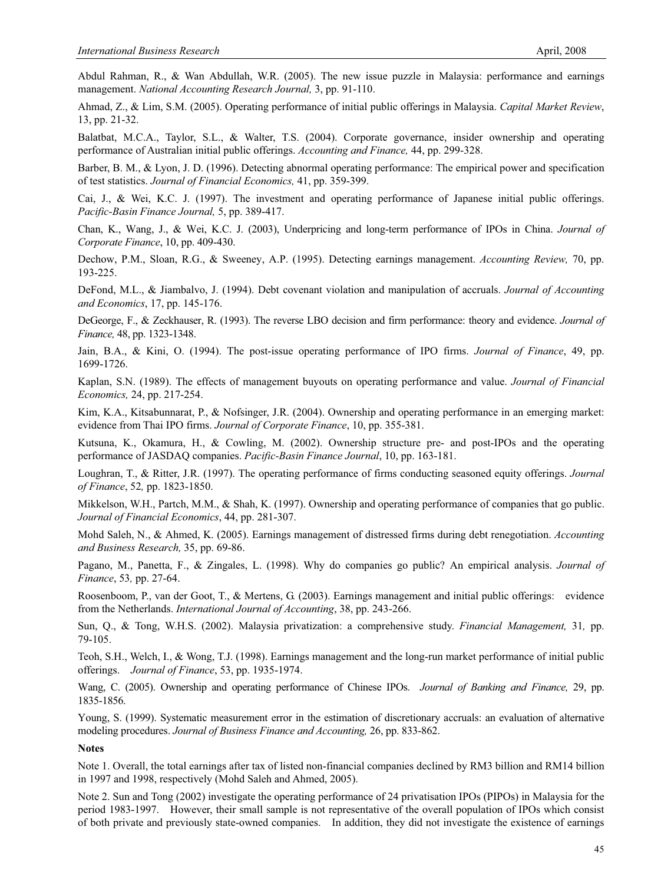Abdul Rahman, R., & Wan Abdullah, W.R. (2005). The new issue puzzle in Malaysia: performance and earnings management. *National Accounting Research Journal,* 3, pp. 91-110.

Ahmad, Z., & Lim, S.M. (2005). Operating performance of initial public offerings in Malaysia. *Capital Market Review*, 13, pp. 21-32.

Balatbat, M.C.A., Taylor, S.L., & Walter, T.S. (2004). Corporate governance, insider ownership and operating performance of Australian initial public offerings. *Accounting and Finance,* 44, pp. 299-328.

Barber, B. M., & Lyon, J. D. (1996). Detecting abnormal operating performance: The empirical power and specification of test statistics. *Journal of Financial Economics,* 41, pp. 359-399.

Cai, J., & Wei, K.C. J. (1997). The investment and operating performance of Japanese initial public offerings. *Pacific-Basin Finance Journal,* 5, pp. 389-417.

Chan, K., Wang, J., & Wei, K.C. J. (2003), Underpricing and long-term performance of IPOs in China. *Journal of Corporate Finance*, 10, pp. 409-430.

Dechow, P.M., Sloan, R.G., & Sweeney, A.P. (1995). Detecting earnings management. *Accounting Review,* 70, pp. 193-225.

DeFond, M.L., & Jiambalvo, J. (1994). Debt covenant violation and manipulation of accruals. *Journal of Accounting and Economics*, 17, pp. 145-176.

DeGeorge, F., & Zeckhauser, R. (1993). The reverse LBO decision and firm performance: theory and evidence. *Journal of Finance,* 48, pp. 1323-1348.

Jain, B.A., & Kini, O. (1994). The post-issue operating performance of IPO firms. *Journal of Finance*, 49, pp. 1699-1726.

Kaplan, S.N. (1989). The effects of management buyouts on operating performance and value. *Journal of Financial Economics,* 24, pp. 217-254.

Kim, K.A., Kitsabunnarat, P., & Nofsinger, J.R. (2004). Ownership and operating performance in an emerging market: evidence from Thai IPO firms. *Journal of Corporate Finance*, 10, pp. 355-381.

Kutsuna, K., Okamura, H., & Cowling, M. (2002). Ownership structure pre- and post-IPOs and the operating performance of JASDAQ companies. *Pacific-Basin Finance Journal*, 10, pp. 163-181.

Loughran, T., & Ritter, J.R. (1997). The operating performance of firms conducting seasoned equity offerings. *Journal of Finance*, 52*,* pp. 1823-1850.

Mikkelson, W.H., Partch, M.M., & Shah, K. (1997). Ownership and operating performance of companies that go public. *Journal of Financial Economics*, 44, pp. 281-307.

Mohd Saleh, N., & Ahmed, K. (2005). Earnings management of distressed firms during debt renegotiation. *Accounting and Business Research,* 35, pp. 69-86.

Pagano, M., Panetta, F., & Zingales, L. (1998). Why do companies go public? An empirical analysis. *Journal of Finance*, 53*,* pp. 27-64.

Roosenboom, P., van der Goot, T., & Mertens, G. (2003). Earnings management and initial public offerings: evidence from the Netherlands. *International Journal of Accounting*, 38, pp. 243-266.

Sun, Q., & Tong, W.H.S. (2002). Malaysia privatization: a comprehensive study. *Financial Management,* 31*,* pp. 79-105.

Teoh, S.H., Welch, I., & Wong, T.J. (1998). Earnings management and the long-run market performance of initial public offerings. *Journal of Finance*, 53, pp. 1935-1974.

Wang, C. (2005). Ownership and operating performance of Chinese IPOs. *Journal of Banking and Finance,* 29, pp. 1835-1856.

Young, S. (1999). Systematic measurement error in the estimation of discretionary accruals: an evaluation of alternative modeling procedures. *Journal of Business Finance and Accounting,* 26, pp. 833-862.

#### **Notes**

Note 1. Overall, the total earnings after tax of listed non-financial companies declined by RM3 billion and RM14 billion in 1997 and 1998, respectively (Mohd Saleh and Ahmed, 2005).

Note 2. Sun and Tong (2002) investigate the operating performance of 24 privatisation IPOs (PIPOs) in Malaysia for the period 1983-1997. However, their small sample is not representative of the overall population of IPOs which consist of both private and previously state-owned companies. In addition, they did not investigate the existence of earnings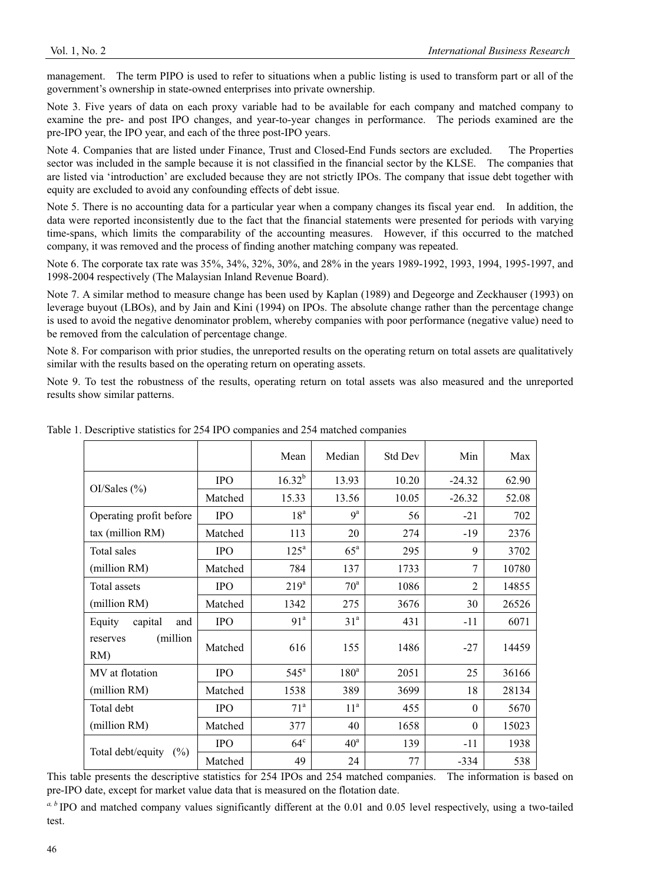management. The term PIPO is used to refer to situations when a public listing is used to transform part or all of the government's ownership in state-owned enterprises into private ownership.

Note 3. Five years of data on each proxy variable had to be available for each company and matched company to examine the pre- and post IPO changes, and year-to-year changes in performance. The periods examined are the pre-IPO year, the IPO year, and each of the three post-IPO years.

Note 4. Companies that are listed under Finance, Trust and Closed-End Funds sectors are excluded. The Properties sector was included in the sample because it is not classified in the financial sector by the KLSE. The companies that are listed via 'introduction' are excluded because they are not strictly IPOs. The company that issue debt together with equity are excluded to avoid any confounding effects of debt issue.

Note 5. There is no accounting data for a particular year when a company changes its fiscal year end. In addition, the data were reported inconsistently due to the fact that the financial statements were presented for periods with varying time-spans, which limits the comparability of the accounting measures. However, if this occurred to the matched company, it was removed and the process of finding another matching company was repeated.

Note 6. The corporate tax rate was 35%, 34%, 32%, 30%, and 28% in the years 1989-1992, 1993, 1994, 1995-1997, and 1998-2004 respectively (The Malaysian Inland Revenue Board).

Note 7. A similar method to measure change has been used by Kaplan (1989) and Degeorge and Zeckhauser (1993) on leverage buyout (LBOs), and by Jain and Kini (1994) on IPOs. The absolute change rather than the percentage change is used to avoid the negative denominator problem, whereby companies with poor performance (negative value) need to be removed from the calculation of percentage change.

Note 8. For comparison with prior studies, the unreported results on the operating return on total assets are qualitatively similar with the results based on the operating return on operating assets.

Note 9. To test the robustness of the results, operating return on total assets was also measured and the unreported results show similar patterns.

|                                |            | Mean             | Median            | Std Dev | Min            | Max   |
|--------------------------------|------------|------------------|-------------------|---------|----------------|-------|
|                                | <b>IPO</b> | $16.32^{b}$      | 13.93             | 10.20   | $-24.32$       | 62.90 |
| OI/Sales (%)                   | Matched    | 15.33            | 13.56             | 10.05   | $-26.32$       | 52.08 |
| Operating profit before        | <b>IPO</b> | 18 <sup>a</sup>  | 9 <sup>a</sup>    | 56      | $-21$          | 702   |
| tax (million RM)               | Matched    | 113              | 20                | 274     | $-19$          | 2376  |
| Total sales                    | <b>IPO</b> | $125^{\circ}$    | $65^{\mathrm{a}}$ | 295     | 9              | 3702  |
| (million RM)                   | Matched    | 784              | 137               | 1733    | 7              | 10780 |
| Total assets                   | <b>IPO</b> | 219 <sup>a</sup> | $70^{\circ}$      | 1086    | $\mathfrak{D}$ | 14855 |
| (million RM)                   | Matched    | 1342             | 275               | 3676    | 30             | 26526 |
| capital<br>Equity<br>and       | <b>IPO</b> | 91 <sup>a</sup>  | 31 <sup>a</sup>   | 431     | $-11$          | 6071  |
| (million<br>reserves<br>$RM$ ) | Matched    | 616              | 155               | 1486    | $-27$          | 14459 |
| MV at flotation                | <b>IPO</b> | $545^{\circ}$    | 180 <sup>a</sup>  | 2051    | 25             | 36166 |
| (million RM)                   | Matched    | 1538             | 389               | 3699    | 18             | 28134 |
| Total debt                     | <b>IPO</b> | 71 <sup>a</sup>  | 11 <sup>a</sup>   | 455     | $\theta$       | 5670  |
| (million RM)                   | Matched    | 377              | 40                | 1658    | $\theta$       | 15023 |
|                                | <b>IPO</b> | $64^{\circ}$     | $40^{\circ}$      | 139     | $-11$          | 1938  |
| Total debt/equity<br>$(\%)$    | Matched    | 49               | 24                | 77      | $-334$         | 538   |

Table 1. Descriptive statistics for 254 IPO companies and 254 matched companies

This table presents the descriptive statistics for 254 IPOs and 254 matched companies. The information is based on pre-IPO date, except for market value data that is measured on the flotation date.

*a, b* IPO and matched company values significantly different at the 0.01 and 0.05 level respectively, using a two-tailed test.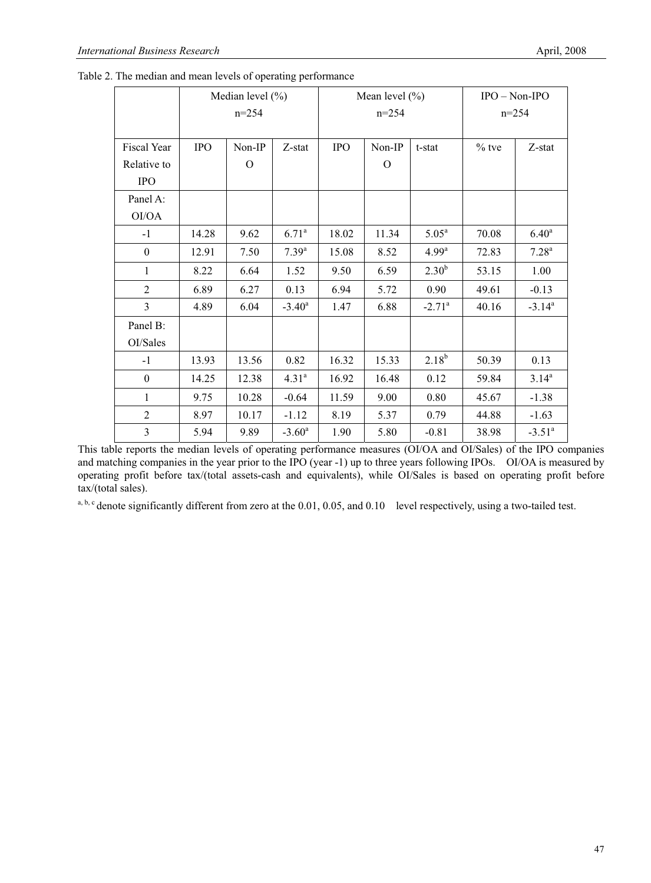|                  | Median level $(\% )$<br>$n=254$ |          |                   |            | Mean level $(\% )$<br>$n = 254$ | $IPO - Non-IPO$   |         |                   |
|------------------|---------------------------------|----------|-------------------|------------|---------------------------------|-------------------|---------|-------------------|
|                  |                                 |          |                   |            |                                 | $n = 254$         |         |                   |
| Fiscal Year      | <b>IPO</b>                      | Non-IP   | Z-stat            | <b>IPO</b> | Non-IP                          | t-stat            | $%$ tve | Z-stat            |
| Relative to      |                                 | $\Omega$ |                   |            | $\Omega$                        |                   |         |                   |
| <b>IPO</b>       |                                 |          |                   |            |                                 |                   |         |                   |
| Panel A:         |                                 |          |                   |            |                                 |                   |         |                   |
| OI/OA            |                                 |          |                   |            |                                 |                   |         |                   |
| $-1$             | 14.28                           | 9.62     | 6.71 <sup>a</sup> | 18.02      | 11.34                           | 5.05 <sup>a</sup> | 70.08   | 6.40 <sup>a</sup> |
| $\mathbf{0}$     | 12.91                           | 7.50     | $7.39^{a}$        | 15.08      | 8.52                            | 4.99 <sup>a</sup> | 72.83   | 7.28 <sup>a</sup> |
| 1                | 8.22                            | 6.64     | 1.52              | 9.50       | 6.59                            | $2.30^{b}$        | 53.15   | 1.00              |
| $\overline{2}$   | 6.89                            | 6.27     | 0.13              | 6.94       | 5.72                            | 0.90              | 49.61   | $-0.13$           |
| $\overline{3}$   | 4.89                            | 6.04     | $-3.40^{\circ}$   | 1.47       | 6.88                            | $-2.71^a$         | 40.16   | $-3.14^a$         |
| Panel B:         |                                 |          |                   |            |                                 |                   |         |                   |
| OI/Sales         |                                 |          |                   |            |                                 |                   |         |                   |
| $-1$             | 13.93                           | 13.56    | 0.82              | 16.32      | 15.33                           | $2.18^{b}$        | 50.39   | 0.13              |
| $\boldsymbol{0}$ | 14.25                           | 12.38    | 4.31 <sup>a</sup> | 16.92      | 16.48                           | 0.12              | 59.84   | $3.14^{a}$        |
| 1                | 9.75                            | 10.28    | $-0.64$           | 11.59      | 9.00                            | 0.80              | 45.67   | $-1.38$           |
| $\overline{2}$   | 8.97                            | 10.17    | $-1.12$           | 8.19       | 5.37                            | 0.79              | 44.88   | $-1.63$           |
| 3                | 5.94                            | 9.89     | $-3.60^{\rm a}$   | 1.90       | 5.80                            | $-0.81$           | 38.98   | $-3.51^a$         |

Table 2. The median and mean levels of operating performance

This table reports the median levels of operating performance measures (OI/OA and OI/Sales) of the IPO companies and matching companies in the year prior to the IPO (year -1) up to three years following IPOs. OI/OA is measured by operating profit before tax/(total assets-cash and equivalents), while OI/Sales is based on operating profit before tax/(total sales).

 $a, b, c$  denote significantly different from zero at the 0.01, 0.05, and 0.10 level respectively, using a two-tailed test.